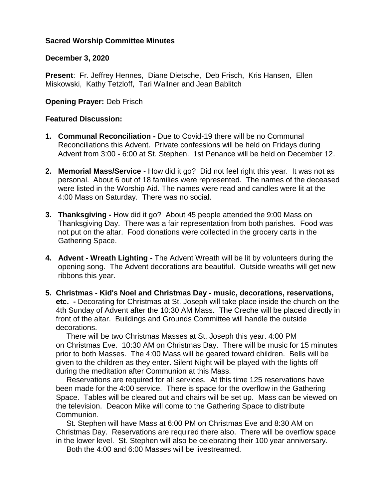## **Sacred Worship Committee Minutes**

## **December 3, 2020**

**Present**: Fr. Jeffrey Hennes, Diane Dietsche, Deb Frisch, Kris Hansen, Ellen Miskowski, Kathy Tetzloff, Tari Wallner and Jean Bablitch

# **Opening Prayer:** Deb Frisch

## **Featured Discussion:**

- **1. Communal Reconciliation -** Due to Covid-19 there will be no Communal Reconciliations this Advent. Private confessions will be held on Fridays during Advent from 3:00 - 6:00 at St. Stephen. 1st Penance will be held on December 12.
- **2. Memorial Mass/Service** How did it go? Did not feel right this year. It was not as personal. About 6 out of 18 families were represented. The names of the deceased were listed in the Worship Aid. The names were read and candles were lit at the 4:00 Mass on Saturday. There was no social.
- **3. Thanksgiving -** How did it go? About 45 people attended the 9:00 Mass on Thanksgiving Day. There was a fair representation from both parishes. Food was not put on the altar. Food donations were collected in the grocery carts in the Gathering Space.
- **4. Advent - Wreath Lighting -** The Advent Wreath will be lit by volunteers during the opening song. The Advent decorations are beautiful. Outside wreaths will get new ribbons this year.
- **5. Christmas - Kid's Noel and Christmas Day - music, decorations, reservations, etc. -** Decorating for Christmas at St. Joseph will take place inside the church on the 4th Sunday of Advent after the 10:30 AM Mass. The Creche will be placed directly in front of the altar. Buildings and Grounds Committee will handle the outside decorations.

 There will be two Christmas Masses at St. Joseph this year. 4:00 PM on Christmas Eve. 10:30 AM on Christmas Day. There will be music for 15 minutes prior to both Masses. The 4:00 Mass will be geared toward children. Bells will be given to the children as they enter. Silent Night will be played with the lights off during the meditation after Communion at this Mass.

 Reservations are required for all services. At this time 125 reservations have been made for the 4:00 service. There is space for the overflow in the Gathering Space. Tables will be cleared out and chairs will be set up. Mass can be viewed on the television. Deacon Mike will come to the Gathering Space to distribute Communion.

 St. Stephen will have Mass at 6:00 PM on Christmas Eve and 8:30 AM on Christmas Day. Reservations are required there also. There will be overflow space in the lower level. St. Stephen will also be celebrating their 100 year anniversary.

Both the 4:00 and 6:00 Masses will be livestreamed.